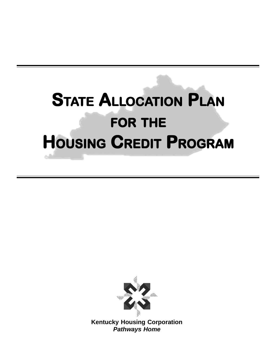# **STATE ALLOCATION PLAN FOR THE HOUSING CREDIT PROGRAM**



**Kentucky Housing Corporation Pathways Home**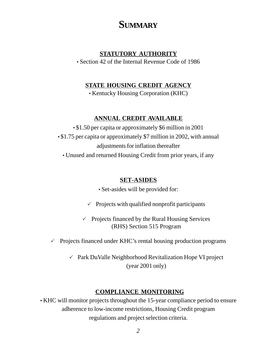## **SUMMARY**

#### **STATUTORY AUTHORITY**

• Section 42 of the Internal Revenue Code of 1986

#### **STATE HOUSING CREDIT AGENCY**

• Kentucky Housing Corporation (KHC)

#### **ANNUAL CREDIT AVAILABLE**

• \$1.50 per capita or approximately \$6 million in 2001 • \$1.75 per capita or approximately \$7 million in 2002, with annual adjustments for inflation thereafter

• Unused and returned Housing Credit from prior years, if any

#### **SET-ASIDES**

• Set-asides will be provided for:

 $\checkmark$  Projects with qualified nonprofit participants

-Projects financed by the Rural Housing Services (RHS) Section 515 Program

-Projects financed under KHC's rental housing production programs

-Park DuValle Neighborhood Revitalization Hope VI project (year 2001 only)

#### **COMPLIANCE MONITORING**

• KHC will monitor projects throughout the 15-year compliance period to ensure adherence to low-income restrictions, Housing Credit program regulations and project selection criteria.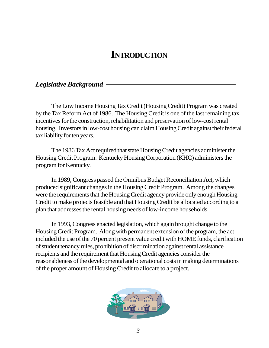## **INTRODUCTION**

### *Legislative Background*

The Low Income Housing Tax Credit (Housing Credit) Program was created by the Tax Reform Act of 1986. The Housing Credit is one of the last remaining tax incentives for the construction, rehabilitation and preservation of low-cost rental housing. Investors in low-cost housing can claim Housing Credit against their federal tax liability for ten years.

The 1986 Tax Act required that state Housing Credit agencies administer the Housing Credit Program. Kentucky Housing Corporation (KHC) administers the program for Kentucky.

In 1989, Congress passed the Omnibus Budget Reconciliation Act, which produced significant changes in the Housing Credit Program. Among the changes were the requirements that the Housing Credit agency provide only enough Housing Credit to make projects feasible and that Housing Credit be allocated according to a plan that addresses the rental housing needs of low-income households.

In 1993, Congress enacted legislation, which again brought change to the Housing Credit Program. Along with permanent extension of the program, the act included the use of the 70 percent present value credit with HOME funds, clarification of student tenancy rules, prohibition of discrimination against rental assistance recipients and the requirement that Housing Credit agencies consider the reasonableness of the developmental and operational costs in making determinations of the proper amount of Housing Credit to allocate to a project.

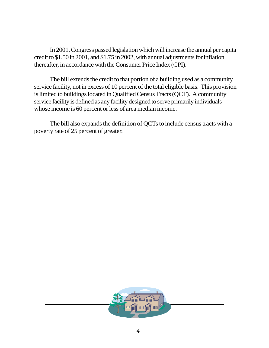In 2001, Congress passed legislation which will increase the annual per capita credit to \$1.50 in 2001, and \$1.75 in 2002, with annual adjustments for inflation thereafter, in accordance with the Consumer Price Index (CPI).

The bill extends the credit to that portion of a building used as a community service facility, not in excess of 10 percent of the total eligible basis. This provision is limited to buildings located in Qualified Census Tracts (QCT). A community service facility is defined as any facility designed to serve primarily individuals whose income is 60 percent or less of area median income.

The bill also expands the definition of QCTs to include census tracts with a poverty rate of 25 percent of greater.

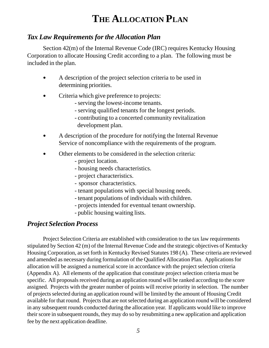## **THE ALLOCATION PLAN**

## *Tax Law Requirements for the Allocation Plan*

Section 42(m) of the Internal Revenue Code (IRC) requires Kentucky Housing Corporation to allocate Housing Credit according to a plan. The following must be included in the plan.

- A description of the project selection criteria to be used in determining priorities.
- Criteria which give preference to projects:
	- serving the lowest-income tenants.
	- serving qualified tenants for the longest periods.
	- contributing to a concerted community revitalization development plan.
- A description of the procedure for notifying the Internal Revenue Service of noncompliance with the requirements of the program.
- Other elements to be considered in the selection criteria:
	- project location.
	- housing needs characteristics.
	- project characteristics.
	- sponsor characteristics.
	- tenant populations with special housing needs.
	- tenant populations of individuals with children.
	- projects intended for eventual tenant ownership.
	- public housing waiting lists.

### *Project Selection Process*

Project Selection Criteria are established with consideration to the tax law requirements stipulated by Section 42 (m) of the Internal Revenue Code and the strategic objectives of Kentucky Housing Corporation, as set forth in Kentucky Revised Statutes 198 (A). These criteria are reviewed and amended as necessary during formulation of the Qualified Allocation Plan. Applications for allocation will be assigned a numerical score in accordance with the project selection criteria (Appendix A). All elements of the application that constitute project selection criteria must be specific. All proposals received during an application round will be ranked according to the score assigned. Projects with the greater number of points will receive priority in selection. The number of projects selected during an application round will be limited by the amount of Housing Credit available for that round. Projects that are not selected during an application round will be considered in any subsequent rounds conducted during the allocation year. If applicants would like to improve their score in subsequent rounds, they may do so by resubmitting a new application and application fee by the next application deadline.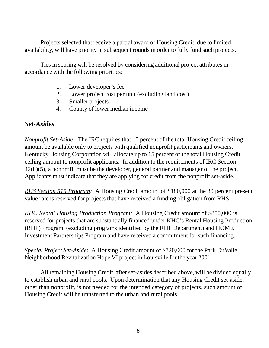Projects selected that receive a partial award of Housing Credit, due to limited availability, will have priority in subsequent rounds in order to fully fund such projects.

Ties in scoring will be resolved by considering additional project attributes in accordance with the following priorities:

- 1. Lower developer's fee
- 2. Lower project cost per unit (excluding land cost)
- 3. Smaller projects
- 4. County of lower median income

#### *Set-Asides*

*Nonprofit Set-Aside:* The IRC requires that 10 percent of the total Housing Credit ceiling amount be available only to projects with qualified nonprofit participants and owners. Kentucky Housing Corporation will allocate up to 15 percent of the total Housing Credit ceiling amount to nonprofit applicants. In addition to the requirements of IRC Section 42(h)(5), a nonprofit must be the developer, general partner and manager of the project. Applicants must indicate that they are applying for credit from the nonprofit set-aside.

*RHS Section 515 Program:* A Housing Credit amount of \$180,000 at the 30 percent present value rate is reserved for projects that have received a funding obligation from RHS.

*KHC Rental Housing Production Program:* A Housing Credit amount of \$850,000 is reserved for projects that are substantially financed under KHC's Rental Housing Production (RHP) Program, (excluding programs identified by the RHP Department) and HOME Investment Partnerships Program and have received a commitment for such financing.

*Special Project Set-Aside:* A Housing Credit amount of \$720,000 for the Park DuValle Neighborhood Revitalization Hope VI project in Louisville for the year 2001.

All remaining Housing Credit, after set-asides described above, will be divided equally to establish urban and rural pools. Upon determination that any Housing Credit set-aside, other than nonprofit, is not needed for the intended category of projects, such amount of Housing Credit will be transferred to the urban and rural pools.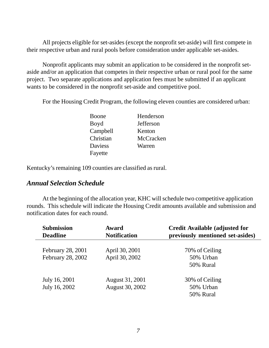All projects eligible for set-asides (except the nonprofit set-aside) will first compete in their respective urban and rural pools before consideration under applicable set-asides.

Nonprofit applicants may submit an application to be considered in the nonprofit setaside and/or an application that competes in their respective urban or rural pool for the same project. Two separate applications and application fees must be submitted if an applicant wants to be considered in the nonprofit set-aside and competitive pool.

For the Housing Credit Program, the following eleven counties are considered urban:

| Boone          | Henderson |
|----------------|-----------|
| Boyd           | Jefferson |
| Campbell       | Kenton    |
| Christian      | McCracken |
| <b>Daviess</b> | Warren    |
| Fayette        |           |

Kentucky's remaining 109 counties are classified as rural.

#### *Annual Selection Schedule*

At the beginning of the allocation year, KHC will schedule two competitive application rounds. This schedule will indicate the Housing Credit amounts available and submission and notification dates for each round.

| <b>Submission</b><br><b>Deadline</b>   | <b>Award</b><br><b>Notification</b> | <b>Credit Available (adjusted for</b><br>previously mentioned set-asides) |  |  |
|----------------------------------------|-------------------------------------|---------------------------------------------------------------------------|--|--|
| February 28, 2001<br>February 28, 2002 | April 30, 2001<br>April 30, 2002    | 70% of Ceiling<br>50% Urban<br>50% Rural                                  |  |  |
| July 16, 2001<br>July 16, 2002         | August 31, 2001<br>August 30, 2002  | 30% of Ceiling<br>50% Urban<br>50% Rural                                  |  |  |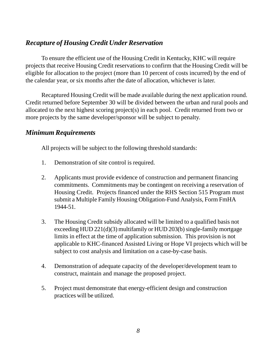## *Recapture of Housing Credit Under Reservation*

To ensure the efficient use of the Housing Credit in Kentucky, KHC will require projects that receive Housing Credit reservations to confirm that the Housing Credit will be eligible for allocation to the project (more than 10 percent of costs incurred) by the end of the calendar year, or six months after the date of allocation, whichever is later.

Recaptured Housing Credit will be made available during the next application round. Credit returned before September 30 will be divided between the urban and rural pools and allocated to the next highest scoring project(s) in each pool. Credit returned from two or more projects by the same developer/sponsor will be subject to penalty.

#### *Minimum Requirements*

All projects will be subject to the following threshold standards:

- 1. Demonstration of site control is required.
- 2. Applicants must provide evidence of construction and permanent financing commitments. Commitments may be contingent on receiving a reservation of Housing Credit. Projects financed under the RHS Section 515 Program must submit a Multiple Family Housing Obligation-Fund Analysis, Form FmHA 1944-51.
- 3. The Housing Credit subsidy allocated will be limited to a qualified basis not exceeding HUD 221(d)(3) multifamily or HUD 203(b) single-family mortgage limits in effect at the time of application submission. This provision is not applicable to KHC-financed Assisted Living or Hope VI projects which will be subject to cost analysis and limitation on a case-by-case basis.
- 4. Demonstration of adequate capacity of the developer/development team to construct, maintain and manage the proposed project.
- 5. Project must demonstrate that energy-efficient design and construction practices will be utilized.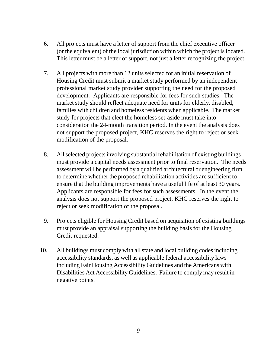- 6. All projects must have a letter of support from the chief executive officer (or the equivalent) of the local jurisdiction within which the project is located. This letter must be a letter of support, not just a letter recognizing the project.
- 7. All projects with more than 12 units selected for an initial reservation of Housing Credit must submit a market study performed by an independent professional market study provider supporting the need for the proposed development. Applicants are responsible for fees for such studies. The market study should reflect adequate need for units for elderly, disabled, families with children and homeless residents when applicable. The market study for projects that elect the homeless set-aside must take into consideration the 24-month transition period. In the event the analysis does not support the proposed project, KHC reserves the right to reject or seek modification of the proposal.
- 8. All selected projects involving substantial rehabilitation of existing buildings must provide a capital needs assessment prior to final reservation. The needs assessment will be performed by a qualified architectural or engineering firm to determine whether the proposed rehabilitation activities are sufficient to ensure that the building improvements have a useful life of at least 30 years. Applicants are responsible for fees for such assessments. In the event the analysis does not support the proposed project, KHC reserves the right to reject or seek modification of the proposal.
- 9. Projects eligible for Housing Credit based on acquisition of existing buildings must provide an appraisal supporting the building basis for the Housing Credit requested.
- 10. All buildings must comply with all state and local building codes including accessibility standards, as well as applicable federal accessibility laws including Fair Housing Accessibility Guidelines and the Americans with Disabilities Act Accessibility Guidelines. Failure to comply may result in negative points.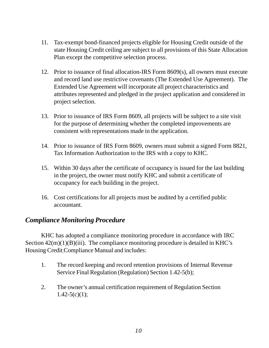- 11. Tax-exempt bond-financed projects eligible for Housing Credit outside of the state Housing Credit ceiling are subject to all provisions of this State Allocation Plan except the competitive selection process.
- 12. Prior to issuance of final allocation-IRS Form 8609(s), all owners must execute and record land use restrictive covenants (The Extended Use Agreement). The Extended Use Agreement will incorporate all project characteristics and attributes represented and pledged in the project application and considered in project selection.
- 13. Prior to issuance of IRS Form 8609, all projects will be subject to a site visit for the purpose of determining whether the completed improvements are consistent with representations made in the application.
- 14. Prior to issuance of IRS Form 8609, owners must submit a signed Form 8821, Tax Information Authorization to the IRS with a copy to KHC.
- 15. Within 30 days after the certificate of occupancy is issued for the last building in the project, the owner must notify KHC and submit a certificate of occupancy for each building in the project.
- 16. Cost certifications for all projects must be audited by a certified public accountant.

### *Compliance Monitoring Procedure*

KHC has adopted a compliance monitoring procedure in accordance with IRC Section  $42(m)(1)(B)(iii)$ . The compliance monitoring procedure is detailed in KHC's Housing Credit Compliance Manual and includes:

- 1. The record keeping and record retention provisions of Internal Revenue Service Final Regulation (Regulation) Section 1.42-5(b);
- 2. The owner's annual certification requirement of Regulation Section  $1.42 - 5(c)(1);$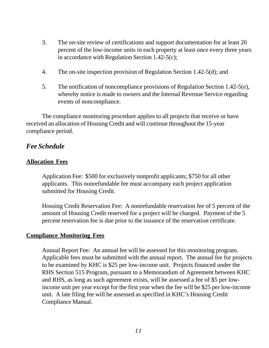- 3. The on-site review of certifications and support documentation for at least 20 percent of the low-income units in each property at least once every three years in accordance with Regulation Section 1.42-5(c);
- 4. The on-site inspection provision of Regulation Section 1.42-5(d); and
- 5. The notification of noncompliance provisions of Regulation Section 1.42-5(e), whereby notice is made to owners and the Internal Revenue Service regarding events of noncompliance.

The compliance monitoring procedure applies to all projects that receive or have received an allocation of Housing Credit and will continue throughout the 15-year compliance period.

#### *Fee Schedule*

#### **Allocation Fees**

Application Fee: \$500 for exclusively nonprofit applicants; \$750 for all other applicants. This nonrefundable fee must accompany each project application submitted for Housing Credit.

Housing Credit Reservation Fee: A nonrefundable reservation fee of 5 percent of the amount of Housing Credit reserved for a project will be charged. Payment of the 5 percent reservation fee is due prior to the issuance of the reservation certificate.

#### **Compliance Monitoring Fees**

Annual Report Fee: An annual fee will be assessed for this monitoring program. Applicable fees must be submitted with the annual report. The annual fee for projects to be examined by KHC is \$25 per low-income unit. Projects financed under the RHS Section 515 Program, pursuant to a Memorandum of Agreement between KHC and RHS, as long as such agreement exists, will be assessed a fee of \$5 per lowincome unit per year except for the first year when the fee will be \$25 per low-income unit. A late filing fee will be assessed as specified in KHC's Housing Credit Compliance Manual.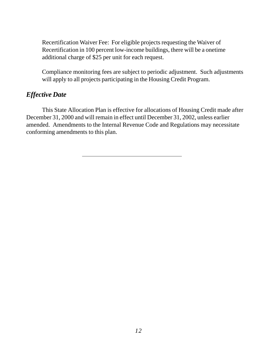Recertification Waiver Fee: For eligible projects requesting the Waiver of Recertification in 100 percent low-income buildings, there will be a onetime additional charge of \$25 per unit for each request.

Compliance monitoring fees are subject to periodic adjustment. Such adjustments will apply to all projects participating in the Housing Credit Program.

#### *Effective Date*

This State Allocation Plan is effective for allocations of Housing Credit made after December 31, 2000 and will remain in effect until December 31, 2002, unless earlier amended. Amendments to the Internal Revenue Code and Regulations may necessitate conforming amendments to this plan.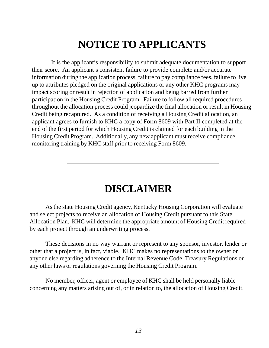# **NOTICE TO APPLICANTS**

 It is the applicant's responsibility to submit adequate documentation to support their score. An applicant's consistent failure to provide complete and/or accurate information during the application process, failure to pay compliance fees, failure to live up to attributes pledged on the original applications or any other KHC programs may impact scoring or result in rejection of application and being barred from further participation in the Housing Credit Program. Failure to follow all required procedures throughout the allocation process could jeopardize the final allocation or result in Housing Credit being recaptured. As a condition of receiving a Housing Credit allocation, an applicant agrees to furnish to KHC a copy of Form 8609 with Part II completed at the end of the first period for which Housing Credit is claimed for each building in the Housing Credit Program. Additionally, any new applicant must receive compliance monitoring training by KHC staff prior to receiving Form 8609.

# **DISCLAIMER**

As the state Housing Credit agency, Kentucky Housing Corporation will evaluate and select projects to receive an allocation of Housing Credit pursuant to this State Allocation Plan. KHC will determine the appropriate amount of Housing Credit required by each project through an underwriting process.

These decisions in no way warrant or represent to any sponsor, investor, lender or other that a project is, in fact, viable. KHC makes no representations to the owner or anyone else regarding adherence to the Internal Revenue Code, Treasury Regulations or any other laws or regulations governing the Housing Credit Program.

No member, officer, agent or employee of KHC shall be held personally liable concerning any matters arising out of, or in relation to, the allocation of Housing Credit.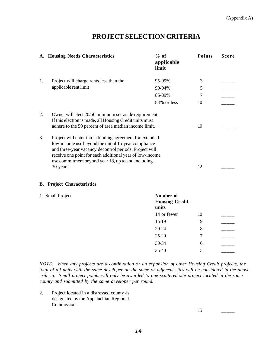#### **PROJECT SELECTION CRITERIA**

|    | A. Housing Needs Characteristics                                                                                                                                                                                                                                                                          | $%$ of<br>applicable<br>limit               | Points | <b>Score</b> |
|----|-----------------------------------------------------------------------------------------------------------------------------------------------------------------------------------------------------------------------------------------------------------------------------------------------------------|---------------------------------------------|--------|--------------|
| 1. | Project will charge rents less than the                                                                                                                                                                                                                                                                   | 95-99%                                      | 3      |              |
|    | applicable rent limit                                                                                                                                                                                                                                                                                     | 90-94%                                      | 5      |              |
|    |                                                                                                                                                                                                                                                                                                           | 85-89%                                      | 7      |              |
|    |                                                                                                                                                                                                                                                                                                           | 84% or less                                 | 10     |              |
| 2. | Owner will elect 20/50 minimum set-aside requirement.<br>If this election is made, all Housing Credit units must<br>adhere to the 50 percent of area median income limit.                                                                                                                                 |                                             | 10     |              |
| 3. | Project will enter into a binding agreement for extended<br>low-income use beyond the initial 15-year compliance<br>and three-year vacancy decontrol periods. Project will<br>receive one point for each additional year of low-income<br>use commitment beyond year 18, up to and including<br>30 years. |                                             |        |              |
|    | <b>B.</b> Project Characteristics                                                                                                                                                                                                                                                                         |                                             |        |              |
|    | 1. Small Project.                                                                                                                                                                                                                                                                                         | Number of<br><b>Housing Credit</b><br>units |        |              |
|    |                                                                                                                                                                                                                                                                                                           | 14 or fewer                                 | 10     |              |
|    |                                                                                                                                                                                                                                                                                                           | $15-19$                                     | 9      |              |
|    |                                                                                                                                                                                                                                                                                                           | $20 - 24$                                   | 8      |              |
|    |                                                                                                                                                                                                                                                                                                           | 25-29                                       | 7      |              |
|    |                                                                                                                                                                                                                                                                                                           | 30-34                                       | 6      |              |
|    |                                                                                                                                                                                                                                                                                                           | 35-40                                       | 5      |              |

*NOTE: When any projects are a continuation or an expansion of other Housing Credit projects, the total of all units with the same developer on the same or adjacent sites will be considered in the above criteria. Small project points will only be awarded to one scattered-site project located in the same county and submitted by the same developer per round.*

2. Project located in a distressed county as designated by the Appalachian Regional Commission.

15 \_\_\_\_\_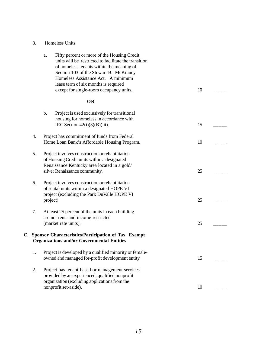|                                                                                                             | a.        | Fifty percent or more of the Housing Credit<br>units will be restricted to facilitate the transition<br>of homeless tenants within the meaning of<br>Section 103 of the Stewart B. McKinney<br>Homeless Assistance Act. A minimum<br>lease term of six months is required<br>except for single-room occupancy units. | 10 |  |
|-------------------------------------------------------------------------------------------------------------|-----------|----------------------------------------------------------------------------------------------------------------------------------------------------------------------------------------------------------------------------------------------------------------------------------------------------------------------|----|--|
|                                                                                                             |           | OR                                                                                                                                                                                                                                                                                                                   |    |  |
|                                                                                                             | b.        | Project is used exclusively for transitional<br>housing for homeless in accordance with<br>IRC Section $42(i)(3)(B)(iii)$ .                                                                                                                                                                                          | 15 |  |
| 4.                                                                                                          |           | Project has commitment of funds from Federal<br>Home Loan Bank's Affordable Housing Program.                                                                                                                                                                                                                         | 10 |  |
| 5.                                                                                                          |           | Project involves construction or rehabilitation<br>of Housing Credit units within a designated<br>Renaissance Kentucky area located in a gold/<br>silver Renaissance community.                                                                                                                                      | 25 |  |
| 6.                                                                                                          | project). | Project involves construction or rehabilitation<br>of rental units within a designated HOPE VI<br>project (excluding the Park DuValle HOPE VI                                                                                                                                                                        | 25 |  |
| 7.                                                                                                          |           | At least 25 percent of the units in each building<br>are not rent- and income-restricted<br>(market rate units).                                                                                                                                                                                                     | 25 |  |
| C. Sponsor Characteristics/Participation of Tax Exempt<br><b>Organizations and/or Governmental Entities</b> |           |                                                                                                                                                                                                                                                                                                                      |    |  |
| 1.                                                                                                          |           | Project is developed by a qualified minority or female-<br>owned and managed for-profit development entity.                                                                                                                                                                                                          | 15 |  |
| 2.                                                                                                          |           | Project has tenant-based or management services<br>provided by an experienced, qualified nonprofit<br>organization (excluding applications from the<br>nonprofit set-aside).                                                                                                                                         | 10 |  |
|                                                                                                             |           |                                                                                                                                                                                                                                                                                                                      |    |  |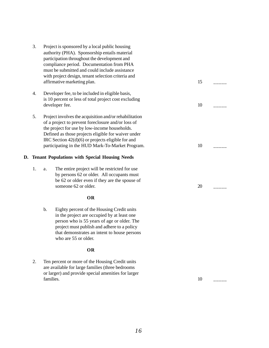- 3. Project is sponsored by a local public housing authority (PHA). Sponsorship entails material participation throughout the development and compliance period. Documentation from PHA must be submitted and could include assistance with project design, tenant selection criteria and affirmative marketing plan.
- 4. Developer fee, to be included in eligible basis, is 10 percent or less of total project cost excluding developer fee.
- 5. Project involves the acquisition and/or rehabilitation of a project to prevent foreclosure and/or loss of the project for use by low-income households. Defined as those projects eligible for waiver under IRC Section 42(d)(6) or projects eligible for and participating in the HUD Mark-To-Market Program.

#### **D. Tenant Populations with Special Housing Needs**

1. a. The entire project will be restricted for use by persons 62 or older. All occupants must be 62 or older even if they are the spouse of someone 62 or older.

#### **OR**

b. Eighty percent of the Housing Credit units in the project are occupied by at least one person who is 55 years of age or older. The project must publish and adhere to a policy that demonstrates an intent to house persons who are 55 or older.

#### **OR**

2. Ten percent or more of the Housing Credit units are available for large families (three bedrooms or larger) and provide special amenities for larger families. 10 \_\_\_\_\_

| 15              |  |
|-----------------|--|
| 10              |  |
| 10 <sup>1</sup> |  |
| 20              |  |
|                 |  |
|                 |  |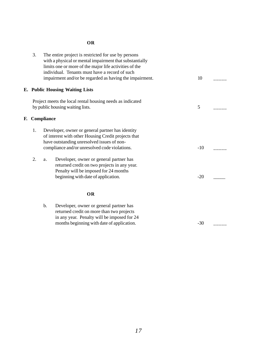#### **OR**

|    | 3.                                                                                                                                                                                                           |    | The entire project is restricted for use by persons<br>with a physical or mental impairment that substantially<br>limits one or more of the major life activities of the<br>individual. Tenants must have a record of such<br>impairment and/or be regarded as having the impairment. | 10    |  |
|----|--------------------------------------------------------------------------------------------------------------------------------------------------------------------------------------------------------------|----|---------------------------------------------------------------------------------------------------------------------------------------------------------------------------------------------------------------------------------------------------------------------------------------|-------|--|
|    |                                                                                                                                                                                                              |    | E. Public Housing Waiting Lists                                                                                                                                                                                                                                                       |       |  |
|    | Project meets the local rental housing needs as indicated<br>by public housing waiting lists.                                                                                                                |    |                                                                                                                                                                                                                                                                                       |       |  |
| F. | Compliance                                                                                                                                                                                                   |    |                                                                                                                                                                                                                                                                                       |       |  |
|    | 1.<br>Developer, owner or general partner has identity<br>of interest with other Housing Credit projects that<br>have outstanding unresolved issues of non-<br>compliance and/or unresolved code violations. |    |                                                                                                                                                                                                                                                                                       | $-10$ |  |
|    | 2.                                                                                                                                                                                                           | a. | Developer, owner or general partner has<br>returned credit on two projects in any year.<br>Penalty will be imposed for 24 months<br>beginning with date of application.                                                                                                               | $-20$ |  |
|    |                                                                                                                                                                                                              |    | <b>OR</b>                                                                                                                                                                                                                                                                             |       |  |
|    |                                                                                                                                                                                                              | b. | Developer, owner or general partner has<br>returned credit on more than two projects<br>in any year. Penalty will be imposed for 24<br>months beginning with date of application.                                                                                                     | $-30$ |  |